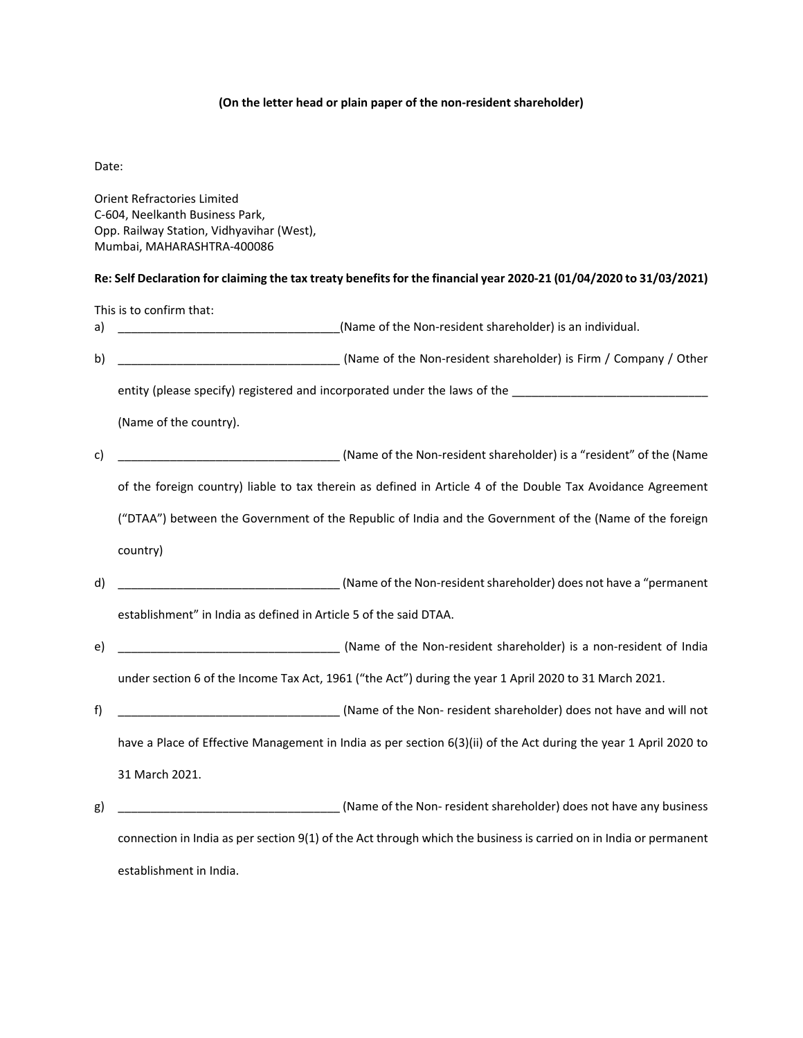## **(On the letter head or plain paper of the non‐resident shareholder)**

Date:

Orient Refractories Limited C‐604, Neelkanth Business Park, Opp. Railway Station, Vidhyavihar (West), Mumbai, MAHARASHTRA‐400086

## Re: Self Declaration for claiming the tax treaty benefits for the financial year 2020-21 (01/04/2020 to 31/03/2021)

This is to confirm that: a) \_\_\_\_\_\_\_\_\_\_\_\_\_\_\_\_\_\_\_\_\_\_\_\_\_\_\_\_\_\_\_\_\_\_(Name of the Non‐resident shareholder) is an individual. b) \_\_\_\_\_\_\_\_\_\_\_\_\_\_\_\_\_\_\_\_\_\_\_\_\_\_\_\_\_\_\_\_\_\_ (Name of the Non‐resident shareholder) is Firm / Company / Other entity (please specify) registered and incorporated under the laws of the \_\_\_\_\_\_\_\_\_\_\_\_\_\_\_\_\_\_\_\_\_\_\_\_\_\_\_\_\_\_ (Name of the country). c) \_\_\_\_\_\_\_\_\_\_\_\_\_\_\_\_\_\_\_\_\_\_\_\_\_\_\_\_\_\_\_\_\_\_ (Name of the Non‐resident shareholder) is a "resident" of the (Name of the foreign country) liable to tax therein as defined in Article 4 of the Double Tax Avoidance Agreement ("DTAA") between the Government of the Republic of India and the Government of the (Name of the foreign country) d) \_\_\_\_\_\_\_\_\_\_\_\_\_\_\_\_\_\_\_\_\_\_\_\_\_\_\_\_\_\_\_\_\_\_ (Name of the Non‐residentshareholder) does not have a "permanent establishment" in India as defined in Article 5 of the said DTAA. e) \_\_\_\_\_\_\_\_\_\_\_\_\_\_\_\_\_\_\_\_\_\_\_\_\_\_\_\_\_\_\_\_\_\_ (Name of the Non‐resident shareholder) is a non‐resident of India under section 6 of the Income Tax Act, 1961 ("the Act") during the year 1 April 2020 to 31 March 2021. f) \_\_\_\_\_\_\_\_\_\_\_\_\_\_\_\_\_\_\_\_\_\_\_\_\_\_\_\_\_\_\_\_\_\_ (Name of the Non‐ resident shareholder) does not have and will not have a Place of Effective Management in India as per section 6(3)(ii) of the Act during the year 1 April 2020 to 31 March 2021. g) \_\_\_\_\_\_\_\_\_\_\_\_\_\_\_\_\_\_\_\_\_\_\_\_\_\_\_\_\_\_\_\_\_\_ (Name of the Non‐ resident shareholder) does not have any business connection in India as per section 9(1) of the Act through which the business is carried on in India or permanent

establishment in India.